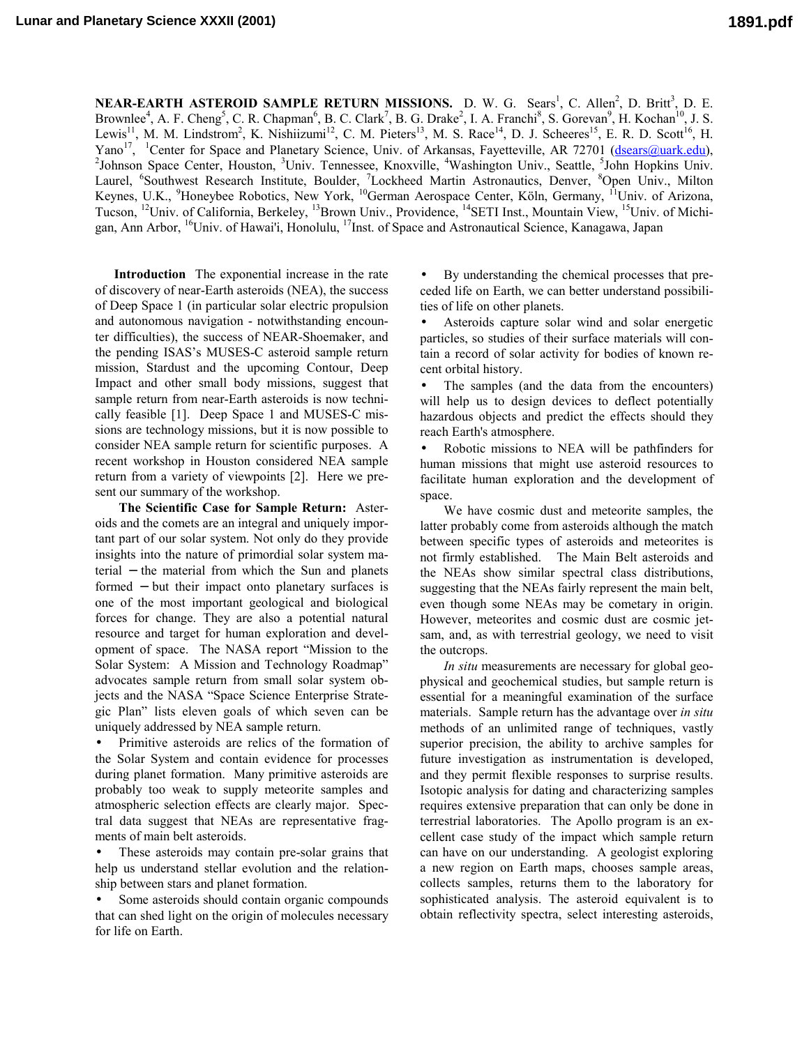**NEAR-EARTH ASTEROID SAMPLE RETURN MISSIONS.** D. W. G. Sears<sup>1</sup>, C. Allen<sup>2</sup>, D. Britt<sup>3</sup>, D. E. Brownlee<sup>4</sup>, A. F. Cheng<sup>5</sup>, C. R. Chapman<sup>6</sup>, B. C. Clark<sup>7</sup>, B. G. Drake<sup>2</sup>, I. A. Franchi<sup>8</sup>, S. Gorevan<sup>9</sup>, H. Kochan<sup>10</sup>, J. S. Lewis<sup>11</sup>, M. M. Lindstrom<sup>2</sup>, K. Nishiizumi<sup>12</sup>, C. M. Pieters<sup>13</sup>, M. S. Race<sup>14</sup>, D. J. Scheeres<sup>15</sup>, E. R. D. Scott<sup>16</sup>, H. Yano<sup>17</sup>, <sup>1</sup>Center for Space and Planetary Science, Univ. of Arkansas, Fayetteville, AR 72701 (dsears@uark.edu), Johnson Space Center, Houston, <sup>3</sup>Univ. Tennessee, Knoxville, <sup>4</sup>Washington Univ., Seattle, <sup>5</sup>John Hopkins Univ. Laurel, <sup>6</sup>Southwest Research Institute, Boulder, <sup>7</sup>Lockheed Martin Astronautics, Denver, <sup>8</sup>Open Univ., Milton Keynes, U.K., <sup>9</sup>Honeybee Robotics, New York, <sup>10</sup>German Aerospace Center, Köln, Germany, <sup>11</sup>Univ. of Arizona, Tucson, <sup>12</sup>Univ. of California, Berkeley, <sup>13</sup>Brown Univ., Providence, <sup>14</sup>SETI Inst., Mountain View, <sup>15</sup>Univ. of Michigan, Ann Arbor, 16Univ. of Hawai'i, Honolulu, 17Inst. of Space and Astronautical Science, Kanagawa, Japan

**Introduction** The exponential increase in the rate of discovery of near-Earth asteroids (NEA), the success of Deep Space 1 (in particular solar electric propulsion and autonomous navigation - notwithstanding encounter difficulties), the success of NEAR-Shoemaker, and the pending ISAS's MUSES-C asteroid sample return mission, Stardust and the upcoming Contour, Deep Impact and other small body missions, suggest that sample return from near-Earth asteroids is now technically feasible [1]. Deep Space 1 and MUSES-C missions are technology missions, but it is now possible to consider NEA sample return for scientific purposes. A recent workshop in Houston considered NEA sample return from a variety of viewpoints [2]. Here we present our summary of the workshop.

 **The Scientific Case for Sample Return:** Asteroids and the comets are an integral and uniquely important part of our solar system. Not only do they provide insights into the nature of primordial solar system material − the material from which the Sun and planets formed − but their impact onto planetary surfaces is one of the most important geological and biological forces for change. They are also a potential natural resource and target for human exploration and development of space. The NASA report "Mission to the Solar System: A Mission and Technology Roadmap" advocates sample return from small solar system objects and the NASA "Space Science Enterprise Strategic Plan" lists eleven goals of which seven can be uniquely addressed by NEA sample return.

• Primitive asteroids are relics of the formation of the Solar System and contain evidence for processes during planet formation. Many primitive asteroids are probably too weak to supply meteorite samples and atmospheric selection effects are clearly major. Spectral data suggest that NEAs are representative fragments of main belt asteroids.

These asteroids may contain pre-solar grains that help us understand stellar evolution and the relationship between stars and planet formation.

Some asteroids should contain organic compounds that can shed light on the origin of molecules necessary for life on Earth.

• By understanding the chemical processes that preceded life on Earth, we can better understand possibilities of life on other planets.

• Asteroids capture solar wind and solar energetic particles, so studies of their surface materials will contain a record of solar activity for bodies of known recent orbital history.

• The samples (and the data from the encounters) will help us to design devices to deflect potentially hazardous objects and predict the effects should they reach Earth's atmosphere.

• Robotic missions to NEA will be pathfinders for human missions that might use asteroid resources to facilitate human exploration and the development of space.

 We have cosmic dust and meteorite samples, the latter probably come from asteroids although the match between specific types of asteroids and meteorites is not firmly established. The Main Belt asteroids and the NEAs show similar spectral class distributions, suggesting that the NEAs fairly represent the main belt, even though some NEAs may be cometary in origin. However, meteorites and cosmic dust are cosmic jetsam, and, as with terrestrial geology, we need to visit the outcrops.

 *In situ* measurements are necessary for global geophysical and geochemical studies, but sample return is essential for a meaningful examination of the surface materials. Sample return has the advantage over *in situ* methods of an unlimited range of techniques, vastly superior precision, the ability to archive samples for future investigation as instrumentation is developed, and they permit flexible responses to surprise results. Isotopic analysis for dating and characterizing samples requires extensive preparation that can only be done in terrestrial laboratories. The Apollo program is an excellent case study of the impact which sample return can have on our understanding. A geologist exploring a new region on Earth maps, chooses sample areas, collects samples, returns them to the laboratory for sophisticated analysis. The asteroid equivalent is to obtain reflectivity spectra, select interesting asteroids,